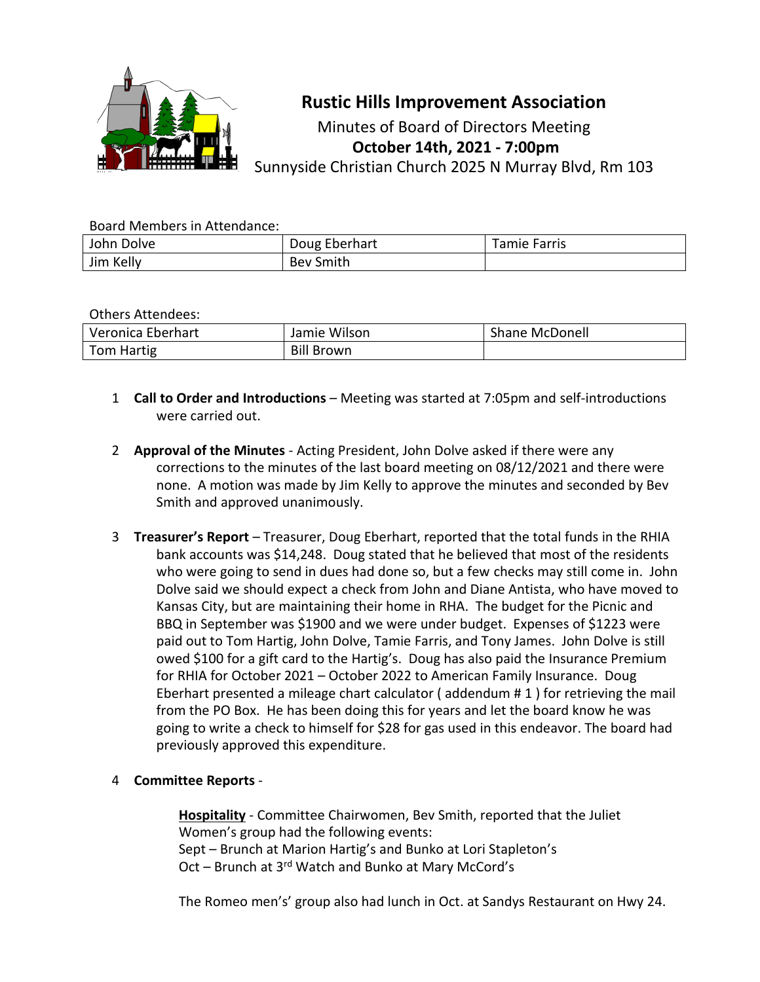

# **Rustic Hills Improvement Association**

Minutes of Board of Directors Meeting **October 14th, 2021 - 7:00pm** Sunnyside Christian Church 2025 N Murray Blvd, Rm 103

#### Board Members in Attendance:

| John Dolve | Doug Eberhart    | Tamie Farris |
|------------|------------------|--------------|
| Jim Kelly  | <b>Bev Smith</b> |              |

#### Others Attendees:

| Veronica Eberhart | Jamie Wilson      | Shane McDonell |
|-------------------|-------------------|----------------|
| Tom Hartig        | <b>Bill Brown</b> |                |

- 1 **Call to Order and Introductions** Meeting was started at 7:05pm and self-introductions were carried out.
- 2 **Approval of the Minutes** Acting President, John Dolve asked if there were any corrections to the minutes of the last board meeting on 08/12/2021 and there were none. A motion was made by Jim Kelly to approve the minutes and seconded by Bev Smith and approved unanimously.
- 3 **Treasurer's Report** Treasurer, Doug Eberhart, reported that the total funds in the RHIA bank accounts was \$14,248. Doug stated that he believed that most of the residents who were going to send in dues had done so, but a few checks may still come in. John Dolve said we should expect a check from John and Diane Antista, who have moved to Kansas City, but are maintaining their home in RHA. The budget for the Picnic and BBQ in September was \$1900 and we were under budget. Expenses of \$1223 were paid out to Tom Hartig, John Dolve, Tamie Farris, and Tony James. John Dolve is still owed \$100 for a gift card to the Hartig's. Doug has also paid the Insurance Premium for RHIA for October 2021 – October 2022 to American Family Insurance. Doug Eberhart presented a mileage chart calculator ( addendum # 1 ) for retrieving the mail from the PO Box. He has been doing this for years and let the board know he was going to write a check to himself for \$28 for gas used in this endeavor. The board had previously approved this expenditure.

## 4 **Committee Reports** -

**Hospitality** - Committee Chairwomen, Bev Smith, reported that the Juliet Women's group had the following events: Sept – Brunch at Marion Hartig's and Bunko at Lori Stapleton's Oct – Brunch at 3<sup>rd</sup> Watch and Bunko at Mary McCord's

The Romeo men's' group also had lunch in Oct. at Sandys Restaurant on Hwy 24.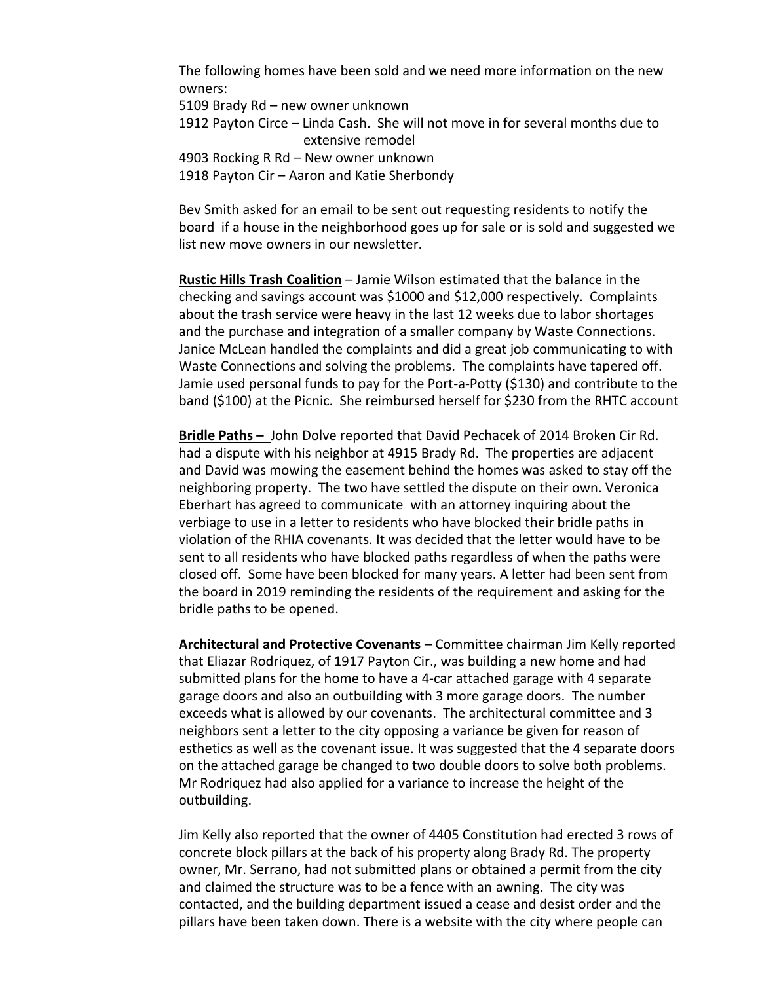The following homes have been sold and we need more information on the new owners:

5109 Brady Rd – new owner unknown

1912 Payton Circe – Linda Cash. She will not move in for several months due to extensive remodel

4903 Rocking R Rd – New owner unknown

1918 Payton Cir – Aaron and Katie Sherbondy

Bev Smith asked for an email to be sent out requesting residents to notify the board if a house in the neighborhood goes up for sale or is sold and suggested we list new move owners in our newsletter.

**Rustic Hills Trash Coalition** – Jamie Wilson estimated that the balance in the checking and savings account was \$1000 and \$12,000 respectively. Complaints about the trash service were heavy in the last 12 weeks due to labor shortages and the purchase and integration of a smaller company by Waste Connections. Janice McLean handled the complaints and did a great job communicating to with Waste Connections and solving the problems. The complaints have tapered off. Jamie used personal funds to pay for the Port-a-Potty (\$130) and contribute to the band (\$100) at the Picnic. She reimbursed herself for \$230 from the RHTC account

**Bridle Paths –** John Dolve reported that David Pechacek of 2014 Broken Cir Rd. had a dispute with his neighbor at 4915 Brady Rd. The properties are adjacent and David was mowing the easement behind the homes was asked to stay off the neighboring property. The two have settled the dispute on their own. Veronica Eberhart has agreed to communicate with an attorney inquiring about the verbiage to use in a letter to residents who have blocked their bridle paths in violation of the RHIA covenants. It was decided that the letter would have to be sent to all residents who have blocked paths regardless of when the paths were closed off. Some have been blocked for many years. A letter had been sent from the board in 2019 reminding the residents of the requirement and asking for the bridle paths to be opened.

**Architectural and Protective Covenants** – Committee chairman Jim Kelly reported that Eliazar Rodriquez, of 1917 Payton Cir., was building a new home and had submitted plans for the home to have a 4-car attached garage with 4 separate garage doors and also an outbuilding with 3 more garage doors. The number exceeds what is allowed by our covenants. The architectural committee and 3 neighbors sent a letter to the city opposing a variance be given for reason of esthetics as well as the covenant issue. It was suggested that the 4 separate doors on the attached garage be changed to two double doors to solve both problems. Mr Rodriquez had also applied for a variance to increase the height of the outbuilding.

Jim Kelly also reported that the owner of 4405 Constitution had erected 3 rows of concrete block pillars at the back of his property along Brady Rd. The property owner, Mr. Serrano, had not submitted plans or obtained a permit from the city and claimed the structure was to be a fence with an awning. The city was contacted, and the building department issued a cease and desist order and the pillars have been taken down. There is a website with the city where people can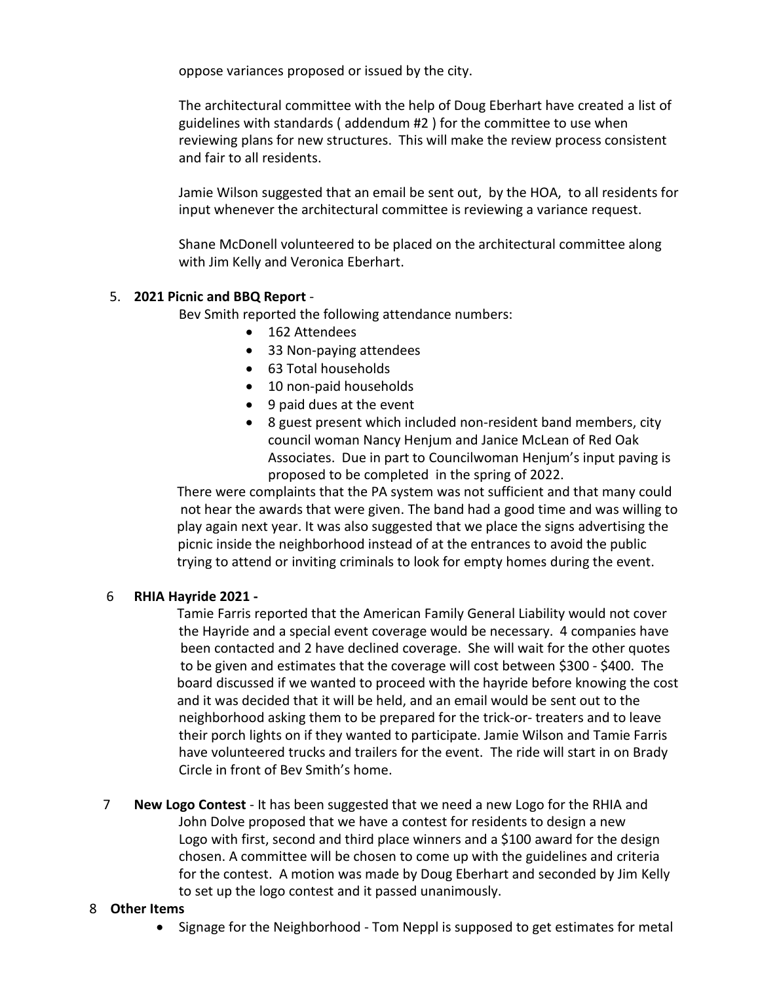oppose variances proposed or issued by the city.

The architectural committee with the help of Doug Eberhart have created a list of guidelines with standards ( addendum #2 ) for the committee to use when reviewing plans for new structures. This will make the review process consistent and fair to all residents.

Jamie Wilson suggested that an email be sent out, by the HOA, to all residents for input whenever the architectural committee is reviewing a variance request.

Shane McDonell volunteered to be placed on the architectural committee along with Jim Kelly and Veronica Eberhart.

## 5. **2021 Picnic and BBQ Report** -

Bev Smith reported the following attendance numbers:

- 162 Attendees
- 33 Non-paying attendees
- 63 Total households
- 10 non-paid households
- 9 paid dues at the event
- 8 guest present which included non-resident band members, city council woman Nancy Henjum and Janice McLean of Red Oak Associates. Due in part to Councilwoman Henjum's input paving is proposed to be completed in the spring of 2022.

 There were complaints that the PA system was not sufficient and that many could not hear the awards that were given. The band had a good time and was willing to play again next year. It was also suggested that we place the signs advertising the picnic inside the neighborhood instead of at the entrances to avoid the public trying to attend or inviting criminals to look for empty homes during the event.

## 6 **RHIA Hayride 2021 -**

 Tamie Farris reported that the American Family General Liability would not cover the Hayride and a special event coverage would be necessary. 4 companies have been contacted and 2 have declined coverage. She will wait for the other quotes to be given and estimates that the coverage will cost between \$300 - \$400. The board discussed if we wanted to proceed with the hayride before knowing the cost and it was decided that it will be held, and an email would be sent out to the neighborhood asking them to be prepared for the trick-or- treaters and to leave their porch lights on if they wanted to participate. Jamie Wilson and Tamie Farris have volunteered trucks and trailers for the event. The ride will start in on Brady Circle in front of Bev Smith's home.

 7 **New Logo Contest** - It has been suggested that we need a new Logo for the RHIA and John Dolve proposed that we have a contest for residents to design a new Logo with first, second and third place winners and a \$100 award for the design chosen. A committee will be chosen to come up with the guidelines and criteria for the contest. A motion was made by Doug Eberhart and seconded by Jim Kelly to set up the logo contest and it passed unanimously.

#### 8 **Other Items**

• Signage for the Neighborhood - Tom Neppl is supposed to get estimates for metal